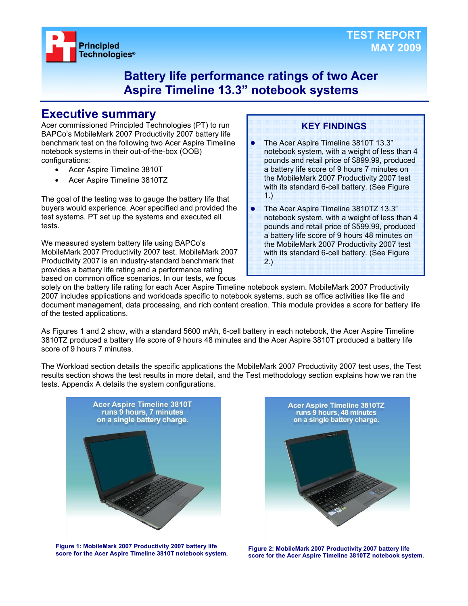

### **Battery life performance ratings of two Acer Aspire Timeline 13.3" notebook systems**

### **Executive summary**

Acer commissioned Principled Technologies (PT) to run BAPCo's MobileMark 2007 Productivity 2007 battery life benchmark test on the following two Acer Aspire Timeline notebook systems in their out-of-the-box (OOB) configurations:

- Acer Aspire Timeline 3810T
- Acer Aspire Timeline 3810TZ

The goal of the testing was to gauge the battery life that buyers would experience. Acer specified and provided the test systems. PT set up the systems and executed all tests.

We measured system battery life using BAPCo's MobileMark 2007 Productivity 2007 test. MobileMark 2007 Productivity 2007 is an industry-standard benchmark that provides a battery life rating and a performance rating based on common office scenarios. In our tests, we focus

### **KEY FINDINGS**

- The Acer Aspire Timeline 3810T 13.3" notebook system, with a weight of less than 4 pounds and retail price of \$899.99, produced a battery life score of 9 hours 7 minutes on the MobileMark 2007 Productivity 2007 test with its standard 6-cell battery. (See Figure 1.)
- The Acer Aspire Timeline 3810TZ 13.3" notebook system, with a weight of less than 4 pounds and retail price of \$599.99, produced a battery life score of 9 hours 48 minutes on the MobileMark 2007 Productivity 2007 test with its standard 6-cell battery. (See Figure 2.)

solely on the battery life rating for each Acer Aspire Timeline notebook system. MobileMark 2007 Productivity 2007 includes applications and workloads specific to notebook systems, such as office activities like file and document management, data processing, and rich content creation. This module provides a score for battery life of the tested applications.

As Figures 1 and 2 show, with a standard 5600 mAh, 6-cell battery in each notebook, the Acer Aspire Timeline 3810TZ produced a battery life score of 9 hours 48 minutes and the Acer Aspire 3810T produced a battery life score of 9 hours 7 minutes.

The Workload section details the specific applications the MobileMark 2007 Productivity 2007 test uses, the Test results section shows the test results in more detail, and the Test methodology section explains how we ran the tests. Appendix A details the system configurations.



**Figure 1: MobileMark 2007 Productivity 2007 battery life score for the Acer Aspire Timeline 3810T notebook system. Figure 2: MobileMark 2007 Productivity 2007 battery life** 



**score for the Acer Aspire Timeline 3810TZ notebook system.**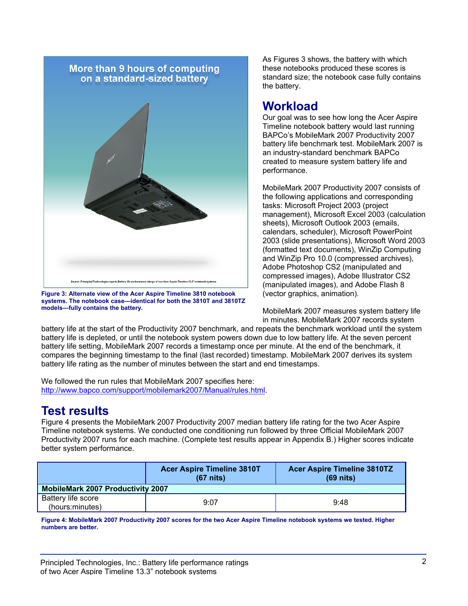

**Figure 3: Alternate view of the Acer Aspire Timeline 3810 notebook systems. The notebook case—identical for both the 3810T and 3810TZ models—fully contains the battery.** 

As Figures 3 shows, the battery with which these notebooks produced these scores is standard size; the notebook case fully contains the battery.

### **Workload**

Our goal was to see how long the Acer Aspire Timeline notebook battery would last running BAPCo's MobileMark 2007 Productivity 2007 battery life benchmark test. MobileMark 2007 is an industry-standard benchmark BAPCo created to measure system battery life and performance.

MobileMark 2007 Productivity 2007 consists of the following applications and corresponding tasks: Microsoft Project 2003 (project management), Microsoft Excel 2003 (calculation sheets), Microsoft Outlook 2003 (emails, calendars, scheduler), Microsoft PowerPoint 2003 (slide presentations), Microsoft Word 2003 (formatted text documents), WinZip Computing and WinZip Pro 10.0 (compressed archives), Adobe Photoshop CS2 (manipulated and compressed images), Adobe Illustrator CS2 (manipulated images), and Adobe Flash 8 (vector graphics, animation).

MobileMark 2007 measures system battery life in minutes. MobileMark 2007 records system

battery life at the start of the Productivity 2007 benchmark, and repeats the benchmark workload until the system battery life is depleted, or until the notebook system powers down due to low battery life. At the seven percent battery life setting, MobileMark 2007 records a timestamp once per minute. At the end of the benchmark, it compares the beginning timestamp to the final (last recorded) timestamp. MobileMark 2007 derives its system battery life rating as the number of minutes between the start and end timestamps.

We followed the run rules that MobileMark 2007 specifies here: http://www.bapco.com/support/mobilemark2007/Manual/rules.html.

## **Test results**

Figure 4 presents the MobileMark 2007 Productivity 2007 median battery life rating for the two Acer Aspire Timeline notebook systems. We conducted one conditioning run followed by three Official MobileMark 2007 Productivity 2007 runs for each machine. (Complete test results appear in Appendix B.) Higher scores indicate better system performance.

|                                          | <b>Acer Aspire Timeline 3810T</b><br>$(67$ nits) | <b>Acer Aspire Timeline 3810TZ</b><br>$(69$ nits) |  |  |
|------------------------------------------|--------------------------------------------------|---------------------------------------------------|--|--|
| <b>MobileMark 2007 Productivity 2007</b> |                                                  |                                                   |  |  |
| Battery life score<br>(hours:minutes)    | 9:07                                             | 9:48                                              |  |  |

**Figure 4: MobileMark 2007 Productivity 2007 scores for the two Acer Aspire Timeline notebook systems we tested. Higher numbers are better.**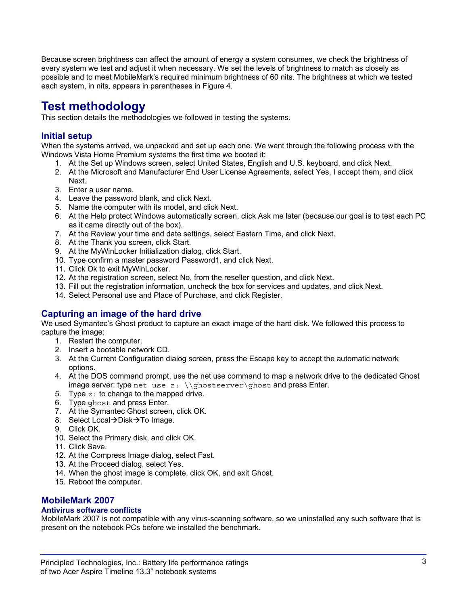Because screen brightness can affect the amount of energy a system consumes, we check the brightness of every system we test and adjust it when necessary. We set the levels of brightness to match as closely as possible and to meet MobileMark's required minimum brightness of 60 nits. The brightness at which we tested each system, in nits, appears in parentheses in Figure 4.

# **Test methodology**

This section details the methodologies we followed in testing the systems.

### **Initial setup**

When the systems arrived, we unpacked and set up each one. We went through the following process with the Windows Vista Home Premium systems the first time we booted it:

- 1. At the Set up Windows screen, select United States, English and U.S. keyboard, and click Next.
- 2. At the Microsoft and Manufacturer End User License Agreements, select Yes, I accept them, and click Next.
- 3. Enter a user name.
- 4. Leave the password blank, and click Next.
- 5. Name the computer with its model, and click Next.
- 6. At the Help protect Windows automatically screen, click Ask me later (because our goal is to test each PC as it came directly out of the box).
- 7. At the Review your time and date settings, select Eastern Time, and click Next.
- 8. At the Thank you screen, click Start.
- 9. At the MyWinLocker Initialization dialog, click Start.
- 10. Type confirm a master password Password1, and click Next.
- 11. Click Ok to exit MyWinLocker.
- 12. At the registration screen, select No, from the reseller question, and click Next.
- 13. Fill out the registration information, uncheck the box for services and updates, and click Next.
- 14. Select Personal use and Place of Purchase, and click Register.

### **Capturing an image of the hard drive**

We used Symantec's Ghost product to capture an exact image of the hard disk. We followed this process to capture the image:

- 1. Restart the computer.
- 2. Insert a bootable network CD.
- 3. At the Current Configuration dialog screen, press the Escape key to accept the automatic network options.
- 4. At the DOS command prompt, use the net use command to map a network drive to the dedicated Ghost image server: type net use  $z: \{\qtext{host} \qtext{host} \}$  and press Enter.
- 5. Type  $z:$  to change to the mapped drive.
- 6. Type ghost and press Enter.
- 7. At the Symantec Ghost screen, click OK.
- 8. Select Local→Disk→To Image.
- 9. Click OK.
- 10. Select the Primary disk, and click OK.
- 11. Click Save.
- 12. At the Compress Image dialog, select Fast.
- 13. At the Proceed dialog, select Yes.
- 14. When the ghost image is complete, click OK, and exit Ghost.
- 15. Reboot the computer.

#### **MobileMark 2007**

#### **Antivirus software conflicts**

MobileMark 2007 is not compatible with any virus-scanning software, so we uninstalled any such software that is present on the notebook PCs before we installed the benchmark.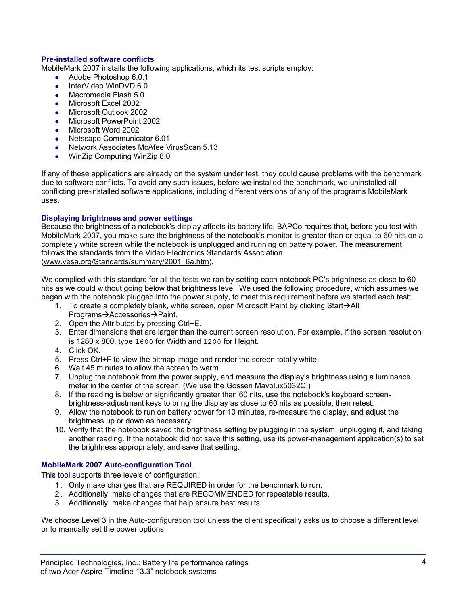#### **Pre-installed software conflicts**

MobileMark 2007 installs the following applications, which its test scripts employ:

- $\bullet$  Adobe Photoshop 6.0.1
- **•** InterVideo WinDVD 6.0
- Macromedia Flash 5.0
- Microsoft Excel 2002
- z Microsoft Outlook 2002
- Microsoft PowerPoint 2002
- Microsoft Word 2002
- Netscape Communicator 6.01
- Network Associates McAfee VirusScan 5.13
- WinZip Computing WinZip 8.0

If any of these applications are already on the system under test, they could cause problems with the benchmark due to software conflicts. To avoid any such issues, before we installed the benchmark, we uninstalled all conflicting pre-installed software applications, including different versions of any of the programs MobileMark uses.

#### **Displaying brightness and power settings**

Because the brightness of a notebook's display affects its battery life, BAPCo requires that, before you test with MobileMark 2007, you make sure the brightness of the notebook's monitor is greater than or equal to 60 nits on a completely white screen while the notebook is unplugged and running on battery power. The measurement follows the standards from the Video Electronics Standards Association (www.vesa.org/Standards/summary/2001\_6a.htm).

We complied with this standard for all the tests we ran by setting each notebook PC's brightness as close to 60 nits as we could without going below that brightness level. We used the following procedure, which assumes we began with the notebook plugged into the power supply, to meet this requirement before we started each test:

- 1. To create a completely blank, white screen, open Microsoft Paint by clicking Start $\rightarrow$ All Programs→Accessories→Paint.
- 2. Open the Attributes by pressing Ctrl+E.
- 3. Enter dimensions that are larger than the current screen resolution. For example, if the screen resolution is 1280 x 800, type 1600 for Width and 1200 for Height.
- 4. Click OK.
- 5. Press Ctrl+F to view the bitmap image and render the screen totally white.
- 6. Wait 45 minutes to allow the screen to warm.
- 7. Unplug the notebook from the power supply, and measure the display's brightness using a luminance meter in the center of the screen. (We use the Gossen Mavolux5032C.)
- 8. If the reading is below or significantly greater than 60 nits, use the notebook's keyboard screenbrightness-adjustment keys to bring the display as close to 60 nits as possible, then retest.
- 9. Allow the notebook to run on battery power for 10 minutes, re-measure the display, and adjust the brightness up or down as necessary.
- 10. Verify that the notebook saved the brightness setting by plugging in the system, unplugging it, and taking another reading. If the notebook did not save this setting, use its power-management application(s) to set the brightness appropriately, and save that setting.

#### **MobileMark 2007 Auto-configuration Tool**

This tool supports three levels of configuration:

- 1 . Only make changes that are REQUIRED in order for the benchmark to run.
- 2 . Additionally, make changes that are RECOMMENDED for repeatable results.
- 3 . Additionally, make changes that help ensure best results.

We choose Level 3 in the Auto-configuration tool unless the client specifically asks us to choose a different level or to manually set the power options.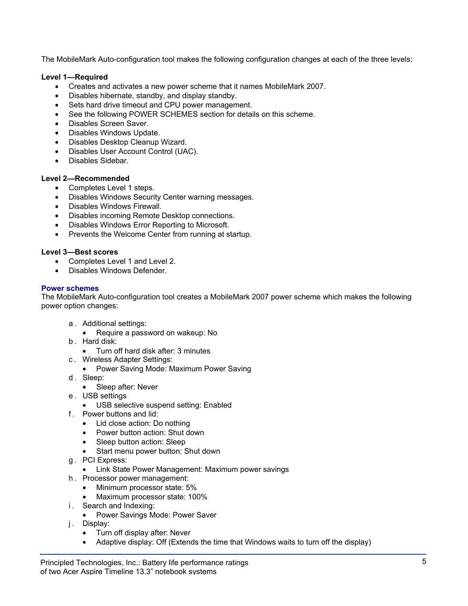The MobileMark Auto-configuration tool makes the following configuration changes at each of the three levels:

#### **Level 1—Required**

- Creates and activates a new power scheme that it names MobileMark 2007.
- Disables hibernate, standby, and display standby.
- Sets hard drive timeout and CPU power management.
- See the following POWER SCHEMES section for details on this scheme.
- Disables Screen Saver.
- Disables Windows Update.
- Disables Desktop Cleanup Wizard.
- Disables User Account Control (UAC).
- Disables Sidebar.

#### **Level 2—Recommended**

- Completes Level 1 steps.
- Disables Windows Security Center warning messages.
- Disables Windows Firewall.
- Disables incoming Remote Desktop connections.
- Disables Windows Error Reporting to Microsoft.
- Prevents the Welcome Center from running at startup.

#### **Level 3—Best scores**

- Completes Level 1 and Level 2.
- Disables Windows Defender.

#### **Power schemes**

The MobileMark Auto-configuration tool creates a MobileMark 2007 power scheme which makes the following power option changes:

- a . Additional settings:
	- Require a password on wakeup: No
- b . Hard disk:
	- Turn off hard disk after: 3 minutes
- c . Wireless Adapter Settings:
	- Power Saving Mode: Maximum Power Saving
- d. Sleep:
	- Sleep after: Never
- e . USB settings
	- USB selective suspend setting: Enabled
- f . Power buttons and lid:
	- Lid close action: Do nothing
	- Power button action: Shut down
	- Sleep button action: Sleep
	- Start menu power button: Shut down
- g . PCI Express:
	- Link State Power Management: Maximum power savings
- h . Processor power management:
	- Minimum processor state: 5%
	- Maximum processor state: 100%
- i. Search and Indexing:
	- Power Savings Mode: Power Saver
- j. Display:
	- Turn off display after: Never
	- Adaptive display: Off (Extends the time that Windows waits to turn off the display)

Principled Technologies, Inc.: Battery life performance ratings  $5$ of two Acer Aspire Timeline 13.3" notebook systems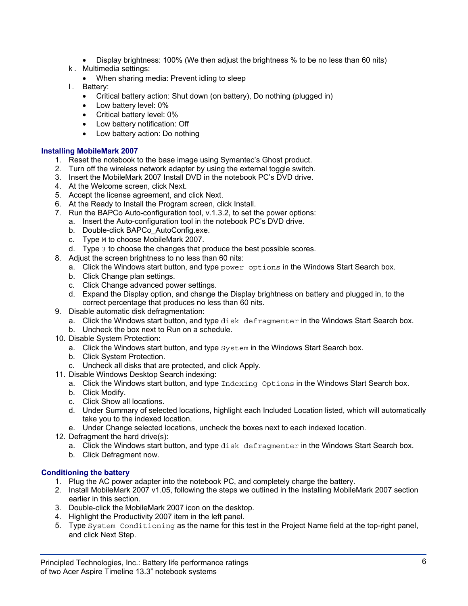- Display brightness: 100% (We then adjust the brightness % to be no less than 60 nits)
- k . Multimedia settings:
	- When sharing media: Prevent idling to sleep
- l. Battery:
	- Critical battery action: Shut down (on battery), Do nothing (plugged in)
	- Low battery level: 0%
	- Critical battery level: 0%
	- Low battery notification: Off
	- Low battery action: Do nothing

#### **Installing MobileMark 2007**

- 1. Reset the notebook to the base image using Symantec's Ghost product.
- 2. Turn off the wireless network adapter by using the external toggle switch.
- 3. Insert the MobileMark 2007 Install DVD in the notebook PC's DVD drive.
- 4. At the Welcome screen, click Next.
- 5. Accept the license agreement, and click Next.
- 6. At the Ready to Install the Program screen, click Install.
- 7. Run the BAPCo Auto-configuration tool, v.1.3.2, to set the power options:
- a. Insert the Auto-configuration tool in the notebook PC's DVD drive.
	- b. Double-click BAPCo\_AutoConfig.exe.
	- c. Type M to choose MobileMark 2007.
	- d. Type 3 to choose the changes that produce the best possible scores.
- 8. Adjust the screen brightness to no less than 60 nits:
	- a. Click the Windows start button, and type power options in the Windows Start Search box.
	- b. Click Change plan settings.
	- c. Click Change advanced power settings.
	- d. Expand the Display option, and change the Display brightness on battery and plugged in, to the correct percentage that produces no less than 60 nits.
- 9. Disable automatic disk defragmentation:
	- a. Click the Windows start button, and type disk defragmenter in the Windows Start Search box.
	- b. Uncheck the box next to Run on a schedule.
- 10. Disable System Protection:
	- a. Click the Windows start button, and type System in the Windows Start Search box.
	- b. Click System Protection.
	- c. Uncheck all disks that are protected, and click Apply.
- 11. Disable Windows Desktop Search indexing:
	- a. Click the Windows start button, and type Indexing Options in the Windows Start Search box.
	- b. Click Modify.
	- c. Click Show all locations.
	- d. Under Summary of selected locations, highlight each Included Location listed, which will automatically take you to the indexed location.
	- e. Under Change selected locations, uncheck the boxes next to each indexed location.
- 12. Defragment the hard drive(s):
	- a. Click the Windows start button, and type disk defragmenter in the Windows Start Search box.
	- b. Click Defragment now.

#### **Conditioning the battery**

- 1. Plug the AC power adapter into the notebook PC, and completely charge the battery.
- 2. Install MobileMark 2007 v1.05, following the steps we outlined in the Installing MobileMark 2007 section earlier in this section.
- 3. Double-click the MobileMark 2007 icon on the desktop.
- 4. Highlight the Productivity 2007 item in the left panel.
- 5. Type System Conditioning as the name for this test in the Project Name field at the top-right panel, and click Next Step.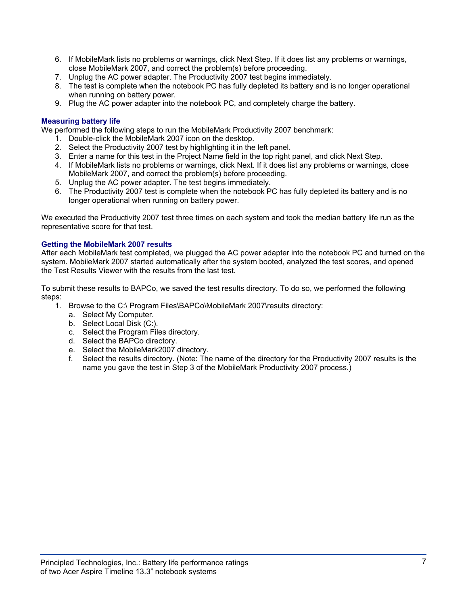- 6. If MobileMark lists no problems or warnings, click Next Step. If it does list any problems or warnings, close MobileMark 2007, and correct the problem(s) before proceeding.
- 7. Unplug the AC power adapter. The Productivity 2007 test begins immediately.
- 8. The test is complete when the notebook PC has fully depleted its battery and is no longer operational when running on battery power.
- 9. Plug the AC power adapter into the notebook PC, and completely charge the battery.

#### **Measuring battery life**

We performed the following steps to run the MobileMark Productivity 2007 benchmark:

- 1. Double-click the MobileMark 2007 icon on the desktop.
- 2. Select the Productivity 2007 test by highlighting it in the left panel.
- 3. Enter a name for this test in the Project Name field in the top right panel, and click Next Step.
- 4. If MobileMark lists no problems or warnings, click Next. If it does list any problems or warnings, close MobileMark 2007, and correct the problem(s) before proceeding.
- 5. Unplug the AC power adapter. The test begins immediately.
- 6. The Productivity 2007 test is complete when the notebook PC has fully depleted its battery and is no longer operational when running on battery power.

We executed the Productivity 2007 test three times on each system and took the median battery life run as the representative score for that test.

#### **Getting the MobileMark 2007 results**

After each MobileMark test completed, we plugged the AC power adapter into the notebook PC and turned on the system. MobileMark 2007 started automatically after the system booted, analyzed the test scores, and opened the Test Results Viewer with the results from the last test.

To submit these results to BAPCo, we saved the test results directory. To do so, we performed the following steps:

- 1. Browse to the C:\ Program Files\BAPCo\MobileMark 2007\results directory:
	- a. Select My Computer.
	- b. Select Local Disk (C:).
	- c. Select the Program Files directory.
	- d. Select the BAPCo directory.
	- e. Select the MobileMark2007 directory.
	- f. Select the results directory. (Note: The name of the directory for the Productivity 2007 results is the name you gave the test in Step 3 of the MobileMark Productivity 2007 process.)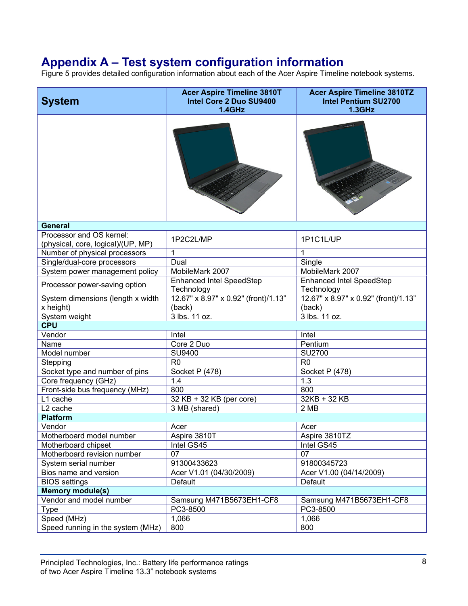# **Appendix A – Test system configuration information**

Figure 5 provides detailed configuration information about each of the Acer Aspire Timeline notebook systems.

| <b>System</b>                                                  | <b>Acer Aspire Timeline 3810T</b><br>Intel Core 2 Duo SU9400<br>1.4GHz | <b>Acer Aspire Timeline 3810TZ</b><br><b>Intel Pentium SU2700</b><br>$1.3$ GHz |  |  |
|----------------------------------------------------------------|------------------------------------------------------------------------|--------------------------------------------------------------------------------|--|--|
|                                                                |                                                                        |                                                                                |  |  |
| <b>General</b>                                                 |                                                                        |                                                                                |  |  |
| Processor and OS kernel:<br>(physical, core, logical)/(UP, MP) | 1P2C2L/MP                                                              | 1P1C1L/UP                                                                      |  |  |
| Number of physical processors                                  | 1                                                                      | 1                                                                              |  |  |
| Single/dual-core processors                                    | Dual                                                                   | Single                                                                         |  |  |
| System power management policy                                 | MobileMark 2007                                                        | MobileMark 2007                                                                |  |  |
| Processor power-saving option                                  | <b>Enhanced Intel SpeedStep</b><br>Technology                          | <b>Enhanced Intel SpeedStep</b><br>Technology                                  |  |  |
| System dimensions (length x width<br>x height)                 | 12.67" x 8.97" x 0.92" (front)/1.13"<br>(back)                         | 12.67" x 8.97" x 0.92" (front)/1.13"<br>(back)                                 |  |  |
| System weight                                                  | 3 lbs. 11 oz.                                                          | 3 lbs. 11 oz.                                                                  |  |  |
| <b>CPU</b>                                                     |                                                                        |                                                                                |  |  |
| Vendor                                                         | Intel                                                                  | Intel                                                                          |  |  |
| Name                                                           | Core 2 Duo                                                             | Pentium                                                                        |  |  |
| Model number                                                   | SU9400                                                                 | <b>SU2700</b>                                                                  |  |  |
| Stepping                                                       | R <sub>0</sub>                                                         | R <sub>0</sub>                                                                 |  |  |
| Socket type and number of pins                                 | Socket P (478)                                                         | Socket P (478)                                                                 |  |  |
| Core frequency (GHz)                                           | 1.4                                                                    | 1.3                                                                            |  |  |
| Front-side bus frequency (MHz)                                 | 800                                                                    | 800                                                                            |  |  |
| L1 cache                                                       | 32 KB + 32 KB (per core)                                               | 32KB + 32 KB                                                                   |  |  |
| L <sub>2</sub> cache                                           | 3 MB (shared)                                                          | 2MB                                                                            |  |  |
| <b>Platform</b>                                                |                                                                        |                                                                                |  |  |
| Vendor                                                         | Acer                                                                   | Acer                                                                           |  |  |
| Motherboard model number                                       | Aspire 3810T                                                           | Aspire 3810TZ                                                                  |  |  |
| Motherboard chipset                                            | Intel GS45                                                             | Intel GS45                                                                     |  |  |
| Motherboard revision number                                    | 07                                                                     | 07                                                                             |  |  |
| System serial number                                           | 91300433623                                                            | 91800345723                                                                    |  |  |
| Bios name and version                                          | Acer V1.01 (04/30/2009)                                                | Acer V1.00 (04/14/2009)                                                        |  |  |
| <b>BIOS</b> settings                                           | Default                                                                | Default                                                                        |  |  |
| <b>Memory module(s)</b>                                        |                                                                        |                                                                                |  |  |
| Vendor and model number                                        | Samsung M471B5673EH1-CF8                                               | Samsung M471B5673EH1-CF8                                                       |  |  |
| <b>Type</b>                                                    | PC3-8500                                                               | PC3-8500                                                                       |  |  |
| Speed (MHz)                                                    | 1,066                                                                  | 1,066                                                                          |  |  |
| Speed running in the system (MHz)                              | 800                                                                    | 800                                                                            |  |  |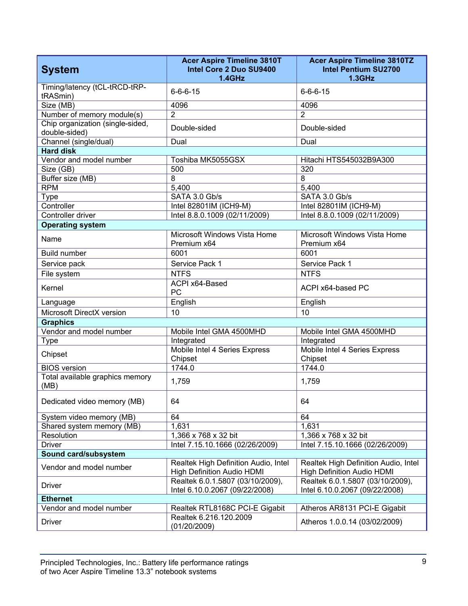| <b>System</b>                                     | <b>Acer Aspire Timeline 3810T</b><br>Intel Core 2 Duo SU9400<br>$1.4$ GHz | <b>Acer Aspire Timeline 3810TZ</b><br><b>Intel Pentium SU2700</b><br><b>1.3GHz</b> |  |  |
|---------------------------------------------------|---------------------------------------------------------------------------|------------------------------------------------------------------------------------|--|--|
| Timing/latency (tCL-tRCD-tRP-<br>tRASmin)         | $6 - 6 - 6 - 15$                                                          | $6 - 6 - 6 - 15$                                                                   |  |  |
| Size (MB)                                         | 4096                                                                      | 4096                                                                               |  |  |
| Number of memory module(s)                        | $\overline{2}$                                                            | $\overline{2}$                                                                     |  |  |
| Chip organization (single-sided,<br>double-sided) | Double-sided                                                              | Double-sided                                                                       |  |  |
| Channel (single/dual)                             | Dual                                                                      | Dual                                                                               |  |  |
| <b>Hard disk</b>                                  |                                                                           |                                                                                    |  |  |
| Vendor and model number                           | Toshiba MK5055GSX                                                         | Hitachi HTS545032B9A300                                                            |  |  |
| Size (GB)                                         | 500                                                                       | 320                                                                                |  |  |
| Buffer size (MB)                                  | 8                                                                         | 8                                                                                  |  |  |
| <b>RPM</b>                                        | 5,400                                                                     | 5,400                                                                              |  |  |
| Type                                              | SATA 3.0 Gb/s                                                             | SATA 3.0 Gb/s                                                                      |  |  |
| Controller                                        | Intel 82801IM (ICH9-M)                                                    | Intel 82801IM (ICH9-M)                                                             |  |  |
| Controller driver                                 | Intel 8.8.0.1009 (02/11/2009)                                             | Intel 8.8.0.1009 (02/11/2009)                                                      |  |  |
| <b>Operating system</b>                           |                                                                           |                                                                                    |  |  |
| Name                                              | Microsoft Windows Vista Home<br>Premium x64                               | Microsoft Windows Vista Home<br>Premium x64                                        |  |  |
| <b>Build number</b>                               | 6001                                                                      | 6001                                                                               |  |  |
| Service pack                                      | Service Pack 1                                                            | Service Pack 1                                                                     |  |  |
| File system                                       | <b>NTFS</b>                                                               | <b>NTFS</b>                                                                        |  |  |
| Kernel                                            | ACPI x64-Based<br>PC                                                      | ACPI x64-based PC                                                                  |  |  |
| Language                                          | English                                                                   | English                                                                            |  |  |
| Microsoft DirectX version                         | 10                                                                        | 10                                                                                 |  |  |
| <b>Graphics</b>                                   |                                                                           |                                                                                    |  |  |
| Vendor and model number                           | Mobile Intel GMA 4500MHD                                                  | Mobile Intel GMA 4500MHD                                                           |  |  |
| <b>Type</b>                                       | Integrated                                                                | Integrated                                                                         |  |  |
| Chipset                                           | Mobile Intel 4 Series Express<br>Chipset                                  | Mobile Intel 4 Series Express<br>Chipset                                           |  |  |
| <b>BIOS</b> version                               | 1744.0                                                                    | 1744.0                                                                             |  |  |
| Total available graphics memory<br>(MB)           | 1,759                                                                     | 1,759                                                                              |  |  |
| Dedicated video memory (MB)                       | 64                                                                        | 64                                                                                 |  |  |
| System video memory (MB)                          | 64                                                                        | 64                                                                                 |  |  |
| Shared system memory (MB)                         | 1,631                                                                     | 1,631                                                                              |  |  |
| Resolution                                        | 1,366 x 768 x 32 bit                                                      | 1,366 x 768 x 32 bit                                                               |  |  |
| <b>Driver</b>                                     | Intel 7.15.10.1666 (02/26/2009)                                           | Intel 7.15.10.1666 (02/26/2009)                                                    |  |  |
| Sound card/subsystem                              |                                                                           |                                                                                    |  |  |
| Vendor and model number                           | Realtek High Definition Audio, Intel<br>High Definition Audio HDMI        | Realtek High Definition Audio, Intel<br><b>High Definition Audio HDMI</b>          |  |  |
| <b>Driver</b>                                     | Realtek 6.0.1.5807 (03/10/2009),<br>Intel 6.10.0.2067 (09/22/2008)        | Realtek 6.0.1.5807 (03/10/2009),<br>Intel 6.10.0.2067 (09/22/2008)                 |  |  |
| <b>Ethernet</b>                                   |                                                                           |                                                                                    |  |  |
| Vendor and model number                           | Realtek RTL8168C PCI-E Gigabit                                            | Atheros AR8131 PCI-E Gigabit                                                       |  |  |
| <b>Driver</b>                                     | Realtek 6.216.120.2009<br>(01/20/2009)                                    | Atheros 1.0.0.14 (03/02/2009)                                                      |  |  |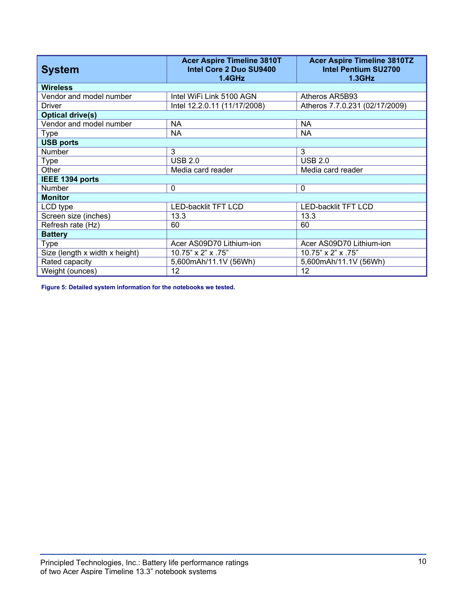| <b>System</b>                  | <b>Acer Aspire Timeline 3810T</b><br>Intel Core 2 Duo SU9400<br>1.4GHz | <b>Acer Aspire Timeline 3810TZ</b><br><b>Intel Pentium SU2700</b><br>$1.3$ GHz |  |
|--------------------------------|------------------------------------------------------------------------|--------------------------------------------------------------------------------|--|
| <b>Wireless</b>                |                                                                        |                                                                                |  |
| Vendor and model number        | Intel WiFi Link 5100 AGN                                               | Atheros AR5B93                                                                 |  |
| <b>Driver</b>                  | Intel 12.2.0.11 (11/17/2008)                                           | Atheros 7.7.0.231 (02/17/2009)                                                 |  |
| <b>Optical drive(s)</b>        |                                                                        |                                                                                |  |
| Vendor and model number        | <b>NA</b>                                                              | <b>NA</b>                                                                      |  |
| <b>Type</b>                    | <b>NA</b>                                                              | ΝA                                                                             |  |
| <b>USB ports</b>               |                                                                        |                                                                                |  |
| Number                         | 3                                                                      | 3                                                                              |  |
| Type                           | <b>USB 2.0</b>                                                         | <b>USB 2.0</b>                                                                 |  |
| Other                          | Media card reader                                                      | Media card reader                                                              |  |
| IEEE 1394 ports                |                                                                        |                                                                                |  |
| <b>Number</b>                  | $\mathbf 0$                                                            | $\mathbf 0$                                                                    |  |
| <b>Monitor</b>                 |                                                                        |                                                                                |  |
| LCD type                       | <b>LED-backlit TFT LCD</b>                                             | <b>LED-backlit TFT LCD</b>                                                     |  |
| Screen size (inches)           | 13.3                                                                   | 13.3                                                                           |  |
| Refresh rate (Hz)              | 60                                                                     | 60                                                                             |  |
| <b>Battery</b>                 |                                                                        |                                                                                |  |
| Type                           | Acer AS09D70 Lithium-ion                                               | Acer AS09D70 Lithium-ion                                                       |  |
| Size (length x width x height) | 10.75" x 2" x .75"                                                     | 10.75" x 2" x .75"                                                             |  |
| Rated capacity                 | 5,600mAh/11.1V (56Wh)                                                  | 5,600mAh/11.1V (56Wh)                                                          |  |
| Weight (ounces)                | 12                                                                     | 12                                                                             |  |

**Figure 5: Detailed system information for the notebooks we tested.**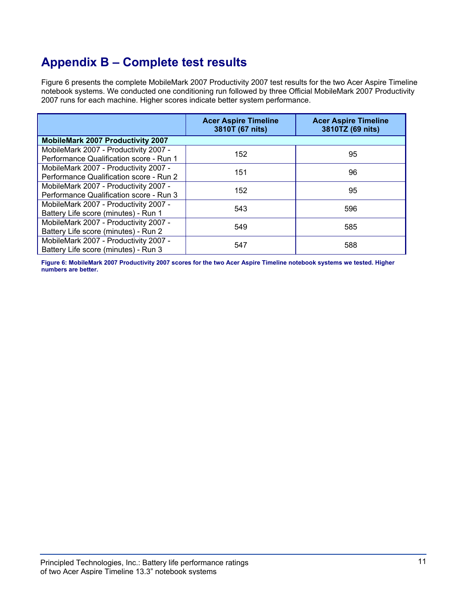# **Appendix B – Complete test results**

Figure 6 presents the complete MobileMark 2007 Productivity 2007 test results for the two Acer Aspire Timeline notebook systems. We conducted one conditioning run followed by three Official MobileMark 2007 Productivity 2007 runs for each machine. Higher scores indicate better system performance.

|                                                                                  | <b>Acer Aspire Timeline</b><br>3810T (67 nits) | <b>Acer Aspire Timeline</b><br>3810TZ (69 nits) |
|----------------------------------------------------------------------------------|------------------------------------------------|-------------------------------------------------|
| <b>MobileMark 2007 Productivity 2007</b>                                         |                                                |                                                 |
| MobileMark 2007 - Productivity 2007 -<br>Performance Qualification score - Run 1 | 152                                            | 95                                              |
| MobileMark 2007 - Productivity 2007 -<br>Performance Qualification score - Run 2 | 151                                            | 96                                              |
| MobileMark 2007 - Productivity 2007 -<br>Performance Qualification score - Run 3 | 152                                            | 95                                              |
| MobileMark 2007 - Productivity 2007 -<br>Battery Life score (minutes) - Run 1    | 543                                            | 596                                             |
| MobileMark 2007 - Productivity 2007 -<br>Battery Life score (minutes) - Run 2    | 549                                            | 585                                             |
| MobileMark 2007 - Productivity 2007 -<br>Battery Life score (minutes) - Run 3    | 547                                            | 588                                             |

**Figure 6: MobileMark 2007 Productivity 2007 scores for the two Acer Aspire Timeline notebook systems we tested. Higher numbers are better.**